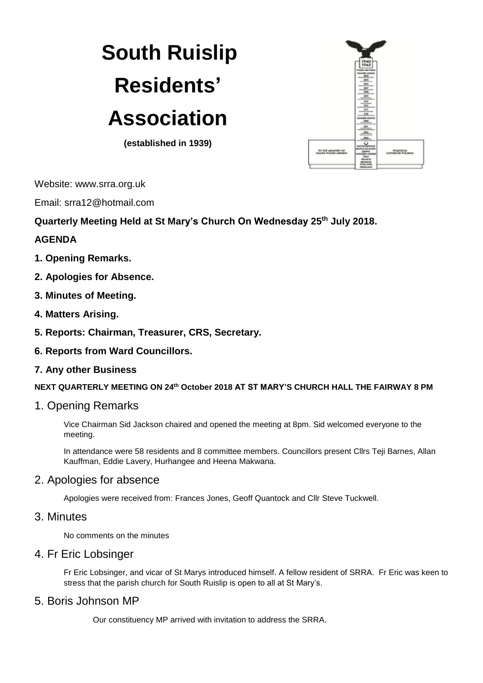# **South Ruislip Residents' Association**

**(established in 1939)**



Website: www.srra.org.uk

Email: srra12@hotmail.com

**Quarterly Meeting Held at St Mary's Church On Wednesday 25 th July 2018.**

## **AGENDA**

- **1. Opening Remarks.**
- **2. Apologies for Absence.**
- **3. Minutes of Meeting.**
- **4. Matters Arising.**
- **5. Reports: Chairman, Treasurer, CRS, Secretary.**
- **6. Reports from Ward Councillors.**
- **7. Any other Business**

**NEXT QUARTERLY MEETING ON 24 th October 2018 AT ST MARY'S CHURCH HALL THE FAIRWAY 8 PM**

1. Opening Remarks

Vice Chairman Sid Jackson chaired and opened the meeting at 8pm. Sid welcomed everyone to the meeting.

In attendance were 58 residents and 8 committee members. Councillors present Cllrs Teji Barnes, Allan Kauffman, Eddie Lavery, Hurhangee and Heena Makwana.

# 2. Apologies for absence

Apologies were received from: Frances Jones, Geoff Quantock and Cllr Steve Tuckwell.

# 3. Minutes

No comments on the minutes

# 4. Fr Eric Lobsinger

Fr Eric Lobsinger, and vicar of St Marys introduced himself. A fellow resident of SRRA. Fr Eric was keen to stress that the parish church for South Ruislip is open to all at St Mary's.

# 5. Boris Johnson MP

Our constituency MP arrived with invitation to address the SRRA.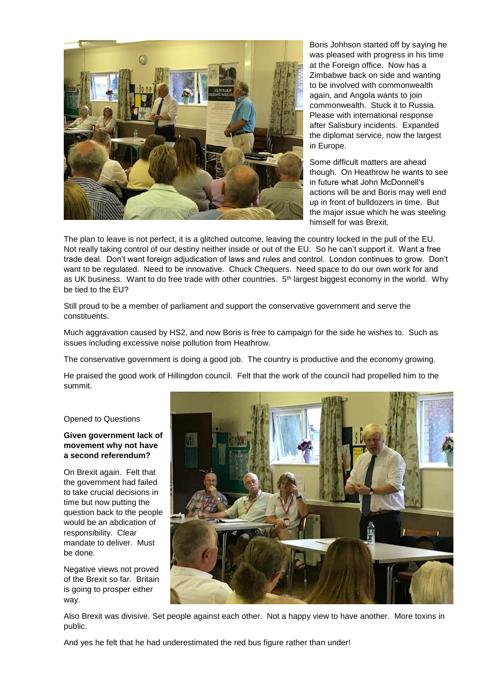

Boris Johhson started off by saying he was pleased with progress in his time at the Foreign office. Now has a Zimbabwe back on side and wanting to be involved with commonwealth again, and Angola wants to join commonwealth. Stuck it to Russia. Please with international response after Salisbury incidents. Expanded the diplomat service, now the largest in Europe.

Some difficult matters are ahead though. On Heathrow he wants to see in future what John McDonnell's actions will be and Boris may well end up in front of bulldozers in time. But the major issue which he was steeling himself for was Brexit.

The plan to leave is not perfect, it is a glitched outcome, leaving the country locked in the pull of the EU. Not really taking control of our destiny neither inside or out of the EU. So he can't support it. Want a free trade deal. Don't want foreign adjudication of laws and rules and control. London continues to grow. Don't want to be regulated. Need to be innovative. Chuck Chequers. Need space to do our own work for and as UK business. Want to do free trade with other countries. 5<sup>th</sup> largest biggest economy in the world. Why be tied to the EU?

Still proud to be a member of parliament and support the conservative government and serve the constituents.

Much aggravation caused by HS2, and now Boris is free to campaign for the side he wishes to. Such as issues including excessive noise pollution from Heathrow.

The conservative government is doing a good job. The country is productive and the economy growing.

He praised the good work of Hillingdon council. Felt that the work of the council had propelled him to the summit.

#### Opened to Questions

#### **Given government lack of movement why not have a second referendum?**

On Brexit again. Felt that the government had failed to take crucial decisions in time but now putting the question back to the people would be an abdication of responsibility. Clear mandate to deliver. Must be done.

Negative views not proved of the Brexit so far. Britain is going to prosper either way.



Also Brexit was divisive. Set people against each other. Not a happy view to have another. More toxins in public.

And yes he felt that he had underestimated the red bus figure rather than under!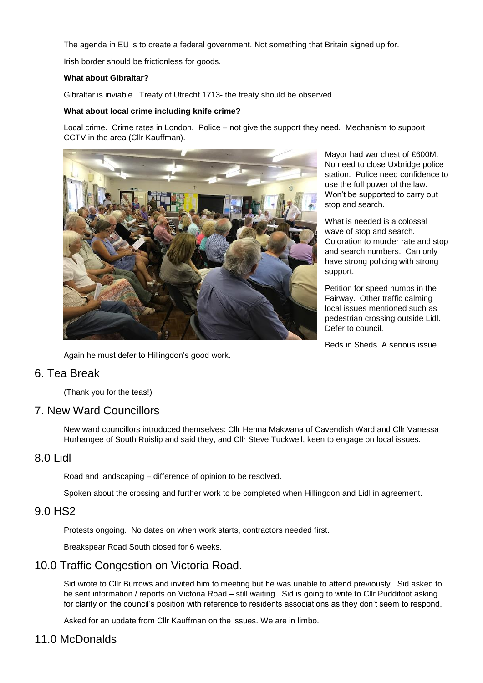The agenda in EU is to create a federal government. Not something that Britain signed up for.

Irish border should be frictionless for goods.

#### **What about Gibraltar?**

Gibraltar is inviable. Treaty of Utrecht 1713- the treaty should be observed.

#### **What about local crime including knife crime?**

Local crime. Crime rates in London. Police – not give the support they need. Mechanism to support CCTV in the area (Cllr Kauffman).



Again he must defer to Hillingdon's good work.

Mayor had war chest of £600M. No need to close Uxbridge police station. Police need confidence to use the full power of the law. Won't be supported to carry out stop and search.

What is needed is a colossal wave of stop and search. Coloration to murder rate and stop and search numbers. Can only have strong policing with strong support.

Petition for speed humps in the Fairway. Other traffic calming local issues mentioned such as pedestrian crossing outside Lidl. Defer to council.

Beds in Sheds. A serious issue.

# 6. Tea Break

(Thank you for the teas!)

# 7. New Ward Councillors

New ward councillors introduced themselves: Cllr Henna Makwana of Cavendish Ward and Cllr Vanessa Hurhangee of South Ruislip and said they, and Cllr Steve Tuckwell, keen to engage on local issues.

## 8.0 Lidl

Road and landscaping – difference of opinion to be resolved.

Spoken about the crossing and further work to be completed when Hillingdon and Lidl in agreement.

## 9.0 HS2

Protests ongoing. No dates on when work starts, contractors needed first.

Breakspear Road South closed for 6 weeks.

# 10.0 Traffic Congestion on Victoria Road.

Sid wrote to Cllr Burrows and invited him to meeting but he was unable to attend previously. Sid asked to be sent information / reports on Victoria Road – still waiting. Sid is going to write to Cllr Puddifoot asking for clarity on the council's position with reference to residents associations as they don't seem to respond.

Asked for an update from Cllr Kauffman on the issues. We are in limbo.

# 11.0 McDonalds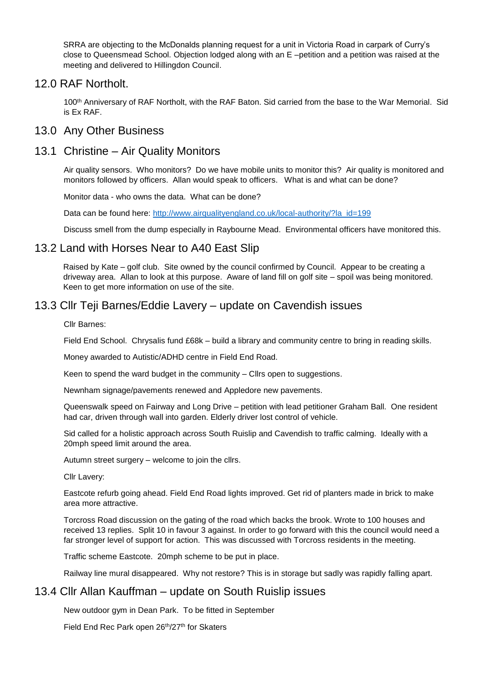SRRA are objecting to the McDonalds planning request for a unit in Victoria Road in carpark of Curry's close to Queensmead School. Objection lodged along with an E –petition and a petition was raised at the meeting and delivered to Hillingdon Council.

## 12.0 RAF Northolt.

100<sup>th</sup> Anniversary of RAF Northolt, with the RAF Baton. Sid carried from the base to the War Memorial. Sid is Ex RAF.

## 13.0 Any Other Business

# 13.1 Christine – Air Quality Monitors

Air quality sensors. Who monitors? Do we have mobile units to monitor this? Air quality is monitored and monitors followed by officers. Allan would speak to officers. What is and what can be done?

Monitor data - who owns the data. What can be done?

Data can be found here: [http://www.airqualityengland.co.uk/local-authority/?la\\_id=199](http://www.airqualityengland.co.uk/local-authority/?la_id=199)

Discuss smell from the dump especially in Raybourne Mead. Environmental officers have monitored this.

# 13.2 Land with Horses Near to A40 East Slip

Raised by Kate – golf club. Site owned by the council confirmed by Council. Appear to be creating a driveway area. Allan to look at this purpose. Aware of land fill on golf site – spoil was being monitored. Keen to get more information on use of the site.

# 13.3 Cllr Teji Barnes/Eddie Lavery – update on Cavendish issues

Cllr Barnes:

Field End School. Chrysalis fund £68k – build a library and community centre to bring in reading skills.

Money awarded to Autistic/ADHD centre in Field End Road.

Keen to spend the ward budget in the community – Cllrs open to suggestions.

Newnham signage/pavements renewed and Appledore new pavements.

Queenswalk speed on Fairway and Long Drive – petition with lead petitioner Graham Ball. One resident had car, driven through wall into garden. Elderly driver lost control of vehicle.

Sid called for a holistic approach across South Ruislip and Cavendish to traffic calming. Ideally with a 20mph speed limit around the area.

Autumn street surgery – welcome to join the cllrs.

Cllr Lavery:

Eastcote refurb going ahead. Field End Road lights improved. Get rid of planters made in brick to make area more attractive.

Torcross Road discussion on the gating of the road which backs the brook. Wrote to 100 houses and received 13 replies. Split 10 in favour 3 against. In order to go forward with this the council would need a far stronger level of support for action. This was discussed with Torcross residents in the meeting.

Traffic scheme Eastcote. 20mph scheme to be put in place.

Railway line mural disappeared. Why not restore? This is in storage but sadly was rapidly falling apart.

# 13.4 Cllr Allan Kauffman – update on South Ruislip issues

New outdoor gym in Dean Park. To be fitted in September

Field End Rec Park open 26<sup>th</sup>/27<sup>th</sup> for Skaters